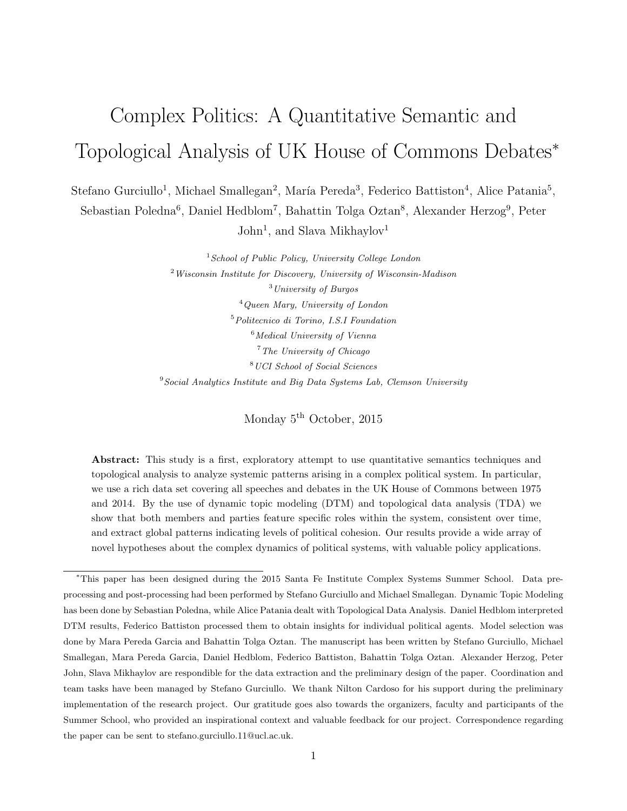# Complex Politics: A Quantitative Semantic and Topological Analysis of UK House of Commons Debates<sup>∗</sup>

Stefano Gurciullo<sup>1</sup>, Michael Smallegan<sup>2</sup>, María Pereda<sup>3</sup>, Federico Battiston<sup>4</sup>, Alice Patania<sup>5</sup>,

Sebastian Poledna<sup>6</sup>, Daniel Hedblom<sup>7</sup>, Bahattin Tolga Oztan<sup>8</sup>, Alexander Herzog<sup>9</sup>, Peter John<sup>1</sup>, and Slava Mikhaylov<sup>1</sup>

> School of Public Policy, University College London Wisconsin Institute for Discovery, University of Wisconsin-Madison University of Burgos Queen Mary, University of London Politecnico di Torino, I.S.I Foundation Medical University of Vienna The University of Chicago UCI School of Social Sciences  $9^{9}$ Social Analytics Institute and Big Data Systems Lab, Clemson University

> > Monday 5<sup>th</sup> October, 2015

Abstract: This study is a first, exploratory attempt to use quantitative semantics techniques and topological analysis to analyze systemic patterns arising in a complex political system. In particular, we use a rich data set covering all speeches and debates in the UK House of Commons between 1975 and 2014. By the use of dynamic topic modeling (DTM) and topological data analysis (TDA) we show that both members and parties feature specific roles within the system, consistent over time, and extract global patterns indicating levels of political cohesion. Our results provide a wide array of novel hypotheses about the complex dynamics of political systems, with valuable policy applications.

<sup>∗</sup>This paper has been designed during the 2015 Santa Fe Institute Complex Systems Summer School. Data preprocessing and post-processing had been performed by Stefano Gurciullo and Michael Smallegan. Dynamic Topic Modeling has been done by Sebastian Poledna, while Alice Patania dealt with Topological Data Analysis. Daniel Hedblom interpreted DTM results, Federico Battiston processed them to obtain insights for individual political agents. Model selection was done by Mara Pereda Garcia and Bahattin Tolga Oztan. The manuscript has been written by Stefano Gurciullo, Michael Smallegan, Mara Pereda Garcia, Daniel Hedblom, Federico Battiston, Bahattin Tolga Oztan. Alexander Herzog, Peter John, Slava Mikhaylov are respondible for the data extraction and the preliminary design of the paper. Coordination and team tasks have been managed by Stefano Gurciullo. We thank Nilton Cardoso for his support during the preliminary implementation of the research project. Our gratitude goes also towards the organizers, faculty and participants of the Summer School, who provided an inspirational context and valuable feedback for our project. Correspondence regarding the paper can be sent to stefano.gurciullo.11@ucl.ac.uk.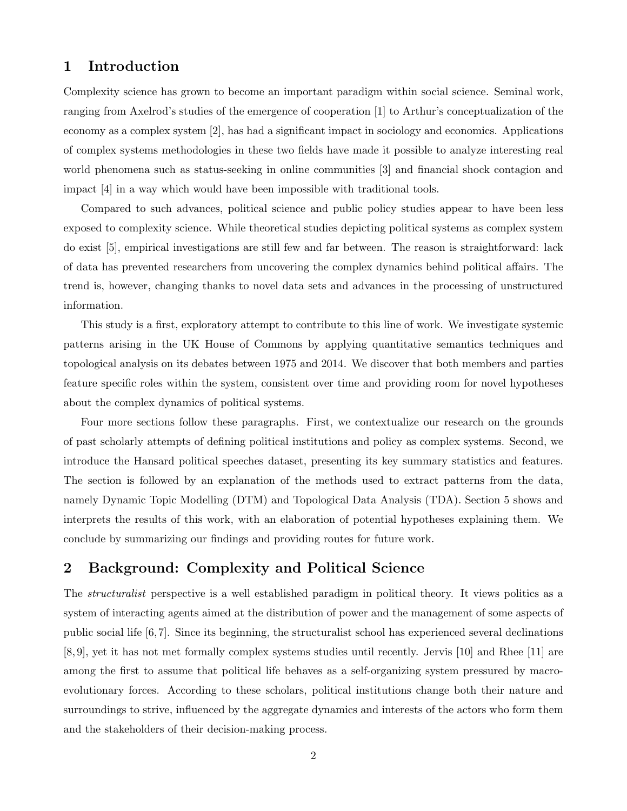# 1 Introduction

Complexity science has grown to become an important paradigm within social science. Seminal work, ranging from Axelrod's studies of the emergence of cooperation [1] to Arthur's conceptualization of the economy as a complex system [2], has had a significant impact in sociology and economics. Applications of complex systems methodologies in these two fields have made it possible to analyze interesting real world phenomena such as status-seeking in online communities [3] and financial shock contagion and impact [4] in a way which would have been impossible with traditional tools.

Compared to such advances, political science and public policy studies appear to have been less exposed to complexity science. While theoretical studies depicting political systems as complex system do exist [5], empirical investigations are still few and far between. The reason is straightforward: lack of data has prevented researchers from uncovering the complex dynamics behind political affairs. The trend is, however, changing thanks to novel data sets and advances in the processing of unstructured information.

This study is a first, exploratory attempt to contribute to this line of work. We investigate systemic patterns arising in the UK House of Commons by applying quantitative semantics techniques and topological analysis on its debates between 1975 and 2014. We discover that both members and parties feature specific roles within the system, consistent over time and providing room for novel hypotheses about the complex dynamics of political systems.

Four more sections follow these paragraphs. First, we contextualize our research on the grounds of past scholarly attempts of defining political institutions and policy as complex systems. Second, we introduce the Hansard political speeches dataset, presenting its key summary statistics and features. The section is followed by an explanation of the methods used to extract patterns from the data, namely Dynamic Topic Modelling (DTM) and Topological Data Analysis (TDA). Section 5 shows and interprets the results of this work, with an elaboration of potential hypotheses explaining them. We conclude by summarizing our findings and providing routes for future work.

# 2 Background: Complexity and Political Science

The *structuralist* perspective is a well established paradigm in political theory. It views politics as a system of interacting agents aimed at the distribution of power and the management of some aspects of public social life [6, 7]. Since its beginning, the structuralist school has experienced several declinations [8, 9], yet it has not met formally complex systems studies until recently. Jervis [10] and Rhee [11] are among the first to assume that political life behaves as a self-organizing system pressured by macroevolutionary forces. According to these scholars, political institutions change both their nature and surroundings to strive, influenced by the aggregate dynamics and interests of the actors who form them and the stakeholders of their decision-making process.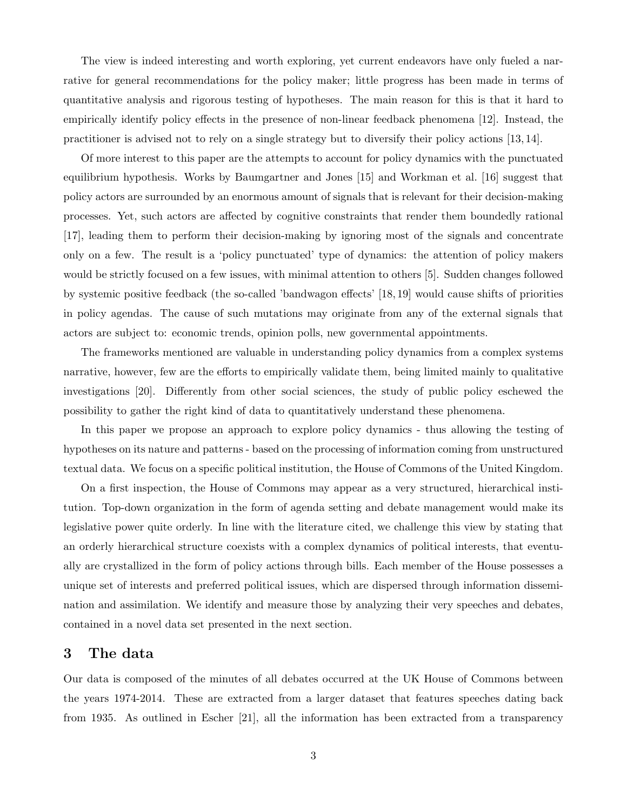The view is indeed interesting and worth exploring, yet current endeavors have only fueled a narrative for general recommendations for the policy maker; little progress has been made in terms of quantitative analysis and rigorous testing of hypotheses. The main reason for this is that it hard to empirically identify policy effects in the presence of non-linear feedback phenomena [12]. Instead, the practitioner is advised not to rely on a single strategy but to diversify their policy actions [13, 14].

Of more interest to this paper are the attempts to account for policy dynamics with the punctuated equilibrium hypothesis. Works by Baumgartner and Jones [15] and Workman et al. [16] suggest that policy actors are surrounded by an enormous amount of signals that is relevant for their decision-making processes. Yet, such actors are affected by cognitive constraints that render them boundedly rational [17], leading them to perform their decision-making by ignoring most of the signals and concentrate only on a few. The result is a 'policy punctuated' type of dynamics: the attention of policy makers would be strictly focused on a few issues, with minimal attention to others [5]. Sudden changes followed by systemic positive feedback (the so-called 'bandwagon effects' [18, 19] would cause shifts of priorities in policy agendas. The cause of such mutations may originate from any of the external signals that actors are subject to: economic trends, opinion polls, new governmental appointments.

The frameworks mentioned are valuable in understanding policy dynamics from a complex systems narrative, however, few are the efforts to empirically validate them, being limited mainly to qualitative investigations [20]. Differently from other social sciences, the study of public policy eschewed the possibility to gather the right kind of data to quantitatively understand these phenomena.

In this paper we propose an approach to explore policy dynamics - thus allowing the testing of hypotheses on its nature and patterns - based on the processing of information coming from unstructured textual data. We focus on a specific political institution, the House of Commons of the United Kingdom.

On a first inspection, the House of Commons may appear as a very structured, hierarchical institution. Top-down organization in the form of agenda setting and debate management would make its legislative power quite orderly. In line with the literature cited, we challenge this view by stating that an orderly hierarchical structure coexists with a complex dynamics of political interests, that eventually are crystallized in the form of policy actions through bills. Each member of the House possesses a unique set of interests and preferred political issues, which are dispersed through information dissemination and assimilation. We identify and measure those by analyzing their very speeches and debates, contained in a novel data set presented in the next section.

### 3 The data

Our data is composed of the minutes of all debates occurred at the UK House of Commons between the years 1974-2014. These are extracted from a larger dataset that features speeches dating back from 1935. As outlined in Escher [21], all the information has been extracted from a transparency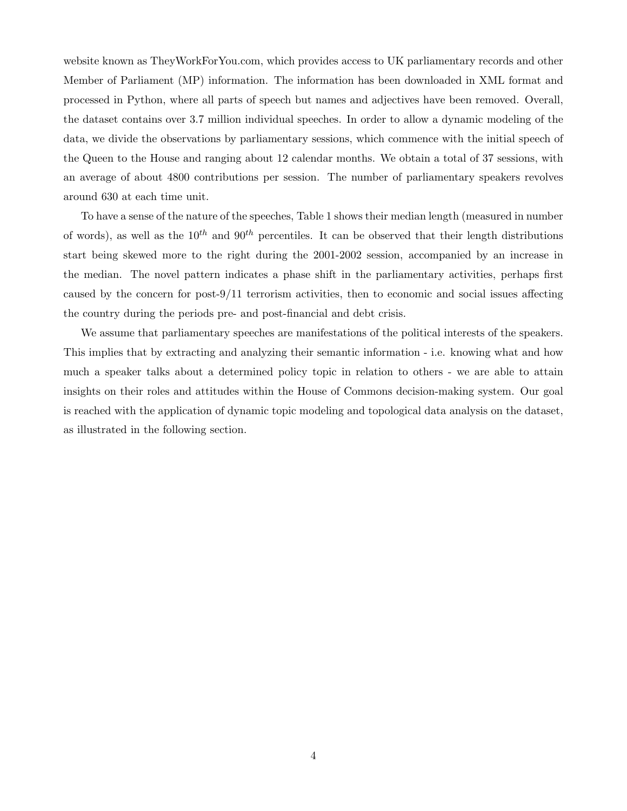website known as TheyWorkForYou.com, which provides access to UK parliamentary records and other Member of Parliament (MP) information. The information has been downloaded in XML format and processed in Python, where all parts of speech but names and adjectives have been removed. Overall, the dataset contains over 3.7 million individual speeches. In order to allow a dynamic modeling of the data, we divide the observations by parliamentary sessions, which commence with the initial speech of the Queen to the House and ranging about 12 calendar months. We obtain a total of 37 sessions, with an average of about 4800 contributions per session. The number of parliamentary speakers revolves around 630 at each time unit.

To have a sense of the nature of the speeches, Table 1 shows their median length (measured in number of words), as well as the  $10^{th}$  and  $90^{th}$  percentiles. It can be observed that their length distributions start being skewed more to the right during the 2001-2002 session, accompanied by an increase in the median. The novel pattern indicates a phase shift in the parliamentary activities, perhaps first caused by the concern for post-9/11 terrorism activities, then to economic and social issues affecting the country during the periods pre- and post-financial and debt crisis.

We assume that parliamentary speeches are manifestations of the political interests of the speakers. This implies that by extracting and analyzing their semantic information - i.e. knowing what and how much a speaker talks about a determined policy topic in relation to others - we are able to attain insights on their roles and attitudes within the House of Commons decision-making system. Our goal is reached with the application of dynamic topic modeling and topological data analysis on the dataset, as illustrated in the following section.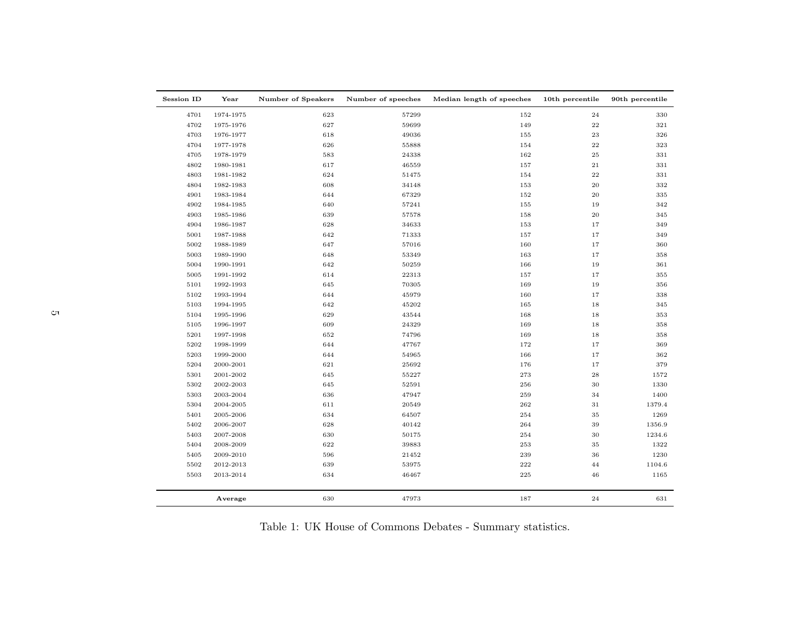| 4701<br>1974-1975<br>623<br>57299<br>152<br>24<br>330<br>4702<br>627<br>59699<br>149<br>$\bf{22}$<br>321<br>1975-1976<br>23<br>4703<br>1976-1977<br>618<br>49036<br>155<br>326<br>626<br>55888<br>$\bf{22}$<br>323<br>4704<br>1977-1978<br>154<br>4705<br>1978-1979<br>583<br>24338<br>162<br>$\bf 25$<br>331<br>$\bf{21}$<br>4802<br>1980-1981<br>617<br>46559<br>157<br>331<br>624<br>154<br>$\bf{22}$<br>331<br>4803<br>1981-1982<br>51475<br>4804<br>1982-1983<br>608<br>34148<br>153<br>$\rm 20$<br>332<br>644<br>67329<br>152<br>20<br>335<br>4901<br>1983-1984<br>4902<br>1984-1985<br>640<br>57241<br>155<br>19<br>342<br>20<br>4903<br>639<br>57578<br>158<br>345<br>1985-1986<br>4904<br>1986-1987<br>628<br>34633<br>153<br>17<br>349<br>642<br>71333<br>$1\,7$<br>349<br>5001<br>1987-1988<br>157<br>5002<br>1988-1989<br>647<br>57016<br>160<br>17<br>360<br>5003<br>648<br>53349<br>163<br>17<br>1989-1990<br>358<br>5004<br>1990-1991<br>642<br>50259<br>166<br>19<br>361<br>5005<br>1991-1992<br>614<br>22313<br>157<br>17<br>355<br>169<br>5101<br>1992-1993<br>645<br>70305<br>19<br>356<br>5102<br>1993-1994<br>644<br>45979<br>160<br>$1\,7$<br>338<br>642<br>165<br>18<br>5103<br>1994-1995<br>45202<br>345<br>5104<br>629<br>43544<br>168<br>18<br>353<br>1995-1996<br>609<br>24329<br>5105<br>1996-1997<br>169<br>18<br>358<br>652<br>5201<br>1997-1998<br>74796<br>169<br>18<br>358<br>5202<br>644<br>172<br>$1\,7$<br>369<br>1998-1999<br>47767<br>5203<br>1999-2000<br>644<br>54965<br>166<br>17<br>362<br>5204<br>621<br>25692<br>176<br>17<br>2000-2001<br>379<br>5301<br>2001-2002<br>645<br>55227<br>273<br>$\bf 28$<br>1572<br>5302<br>645<br>52591<br>256<br>30<br>2002-2003<br>1330<br>5303<br>2003-2004<br>636<br>47947<br>259<br>34<br>1400<br>262<br>5304<br>2004-2005<br>611<br>20549<br>31<br>1379.4<br>5401<br>2005-2006<br>634<br>64507<br>254<br>35<br>1269<br>5402<br>628<br>40142<br>264<br>39<br>1356.9<br>2006-2007<br>5403<br>2007-2008<br>630<br>50175<br>254<br>30<br>1234.6<br>5404<br>622<br>39883<br>253<br>35<br>2008-2009<br>1322<br>239<br>5405<br>2009-2010<br>596<br>21452<br>36<br>1230<br>639<br>222<br>5502<br>2012-2013<br>53975<br>44<br>1104.6<br>634<br>46467<br>225<br>46<br>5503<br>2013-2014<br>1165 | <b>Session ID</b> | Year    | Number of Speakers | Number of speeches | Median length of speeches | 10th percentile | 90th percentile |
|------------------------------------------------------------------------------------------------------------------------------------------------------------------------------------------------------------------------------------------------------------------------------------------------------------------------------------------------------------------------------------------------------------------------------------------------------------------------------------------------------------------------------------------------------------------------------------------------------------------------------------------------------------------------------------------------------------------------------------------------------------------------------------------------------------------------------------------------------------------------------------------------------------------------------------------------------------------------------------------------------------------------------------------------------------------------------------------------------------------------------------------------------------------------------------------------------------------------------------------------------------------------------------------------------------------------------------------------------------------------------------------------------------------------------------------------------------------------------------------------------------------------------------------------------------------------------------------------------------------------------------------------------------------------------------------------------------------------------------------------------------------------------------------------------------------------------------------------------------------------------------------------------------------------------------------------------------------------------------------------------------------------------------------------------------------------------------------------------------------------------------------------------------------------------------------------------------------------------------------------------------------------|-------------------|---------|--------------------|--------------------|---------------------------|-----------------|-----------------|
|                                                                                                                                                                                                                                                                                                                                                                                                                                                                                                                                                                                                                                                                                                                                                                                                                                                                                                                                                                                                                                                                                                                                                                                                                                                                                                                                                                                                                                                                                                                                                                                                                                                                                                                                                                                                                                                                                                                                                                                                                                                                                                                                                                                                                                                                        |                   |         |                    |                    |                           |                 |                 |
|                                                                                                                                                                                                                                                                                                                                                                                                                                                                                                                                                                                                                                                                                                                                                                                                                                                                                                                                                                                                                                                                                                                                                                                                                                                                                                                                                                                                                                                                                                                                                                                                                                                                                                                                                                                                                                                                                                                                                                                                                                                                                                                                                                                                                                                                        |                   |         |                    |                    |                           |                 |                 |
|                                                                                                                                                                                                                                                                                                                                                                                                                                                                                                                                                                                                                                                                                                                                                                                                                                                                                                                                                                                                                                                                                                                                                                                                                                                                                                                                                                                                                                                                                                                                                                                                                                                                                                                                                                                                                                                                                                                                                                                                                                                                                                                                                                                                                                                                        |                   |         |                    |                    |                           |                 |                 |
|                                                                                                                                                                                                                                                                                                                                                                                                                                                                                                                                                                                                                                                                                                                                                                                                                                                                                                                                                                                                                                                                                                                                                                                                                                                                                                                                                                                                                                                                                                                                                                                                                                                                                                                                                                                                                                                                                                                                                                                                                                                                                                                                                                                                                                                                        |                   |         |                    |                    |                           |                 |                 |
|                                                                                                                                                                                                                                                                                                                                                                                                                                                                                                                                                                                                                                                                                                                                                                                                                                                                                                                                                                                                                                                                                                                                                                                                                                                                                                                                                                                                                                                                                                                                                                                                                                                                                                                                                                                                                                                                                                                                                                                                                                                                                                                                                                                                                                                                        |                   |         |                    |                    |                           |                 |                 |
|                                                                                                                                                                                                                                                                                                                                                                                                                                                                                                                                                                                                                                                                                                                                                                                                                                                                                                                                                                                                                                                                                                                                                                                                                                                                                                                                                                                                                                                                                                                                                                                                                                                                                                                                                                                                                                                                                                                                                                                                                                                                                                                                                                                                                                                                        |                   |         |                    |                    |                           |                 |                 |
|                                                                                                                                                                                                                                                                                                                                                                                                                                                                                                                                                                                                                                                                                                                                                                                                                                                                                                                                                                                                                                                                                                                                                                                                                                                                                                                                                                                                                                                                                                                                                                                                                                                                                                                                                                                                                                                                                                                                                                                                                                                                                                                                                                                                                                                                        |                   |         |                    |                    |                           |                 |                 |
|                                                                                                                                                                                                                                                                                                                                                                                                                                                                                                                                                                                                                                                                                                                                                                                                                                                                                                                                                                                                                                                                                                                                                                                                                                                                                                                                                                                                                                                                                                                                                                                                                                                                                                                                                                                                                                                                                                                                                                                                                                                                                                                                                                                                                                                                        |                   |         |                    |                    |                           |                 |                 |
|                                                                                                                                                                                                                                                                                                                                                                                                                                                                                                                                                                                                                                                                                                                                                                                                                                                                                                                                                                                                                                                                                                                                                                                                                                                                                                                                                                                                                                                                                                                                                                                                                                                                                                                                                                                                                                                                                                                                                                                                                                                                                                                                                                                                                                                                        |                   |         |                    |                    |                           |                 |                 |
|                                                                                                                                                                                                                                                                                                                                                                                                                                                                                                                                                                                                                                                                                                                                                                                                                                                                                                                                                                                                                                                                                                                                                                                                                                                                                                                                                                                                                                                                                                                                                                                                                                                                                                                                                                                                                                                                                                                                                                                                                                                                                                                                                                                                                                                                        |                   |         |                    |                    |                           |                 |                 |
|                                                                                                                                                                                                                                                                                                                                                                                                                                                                                                                                                                                                                                                                                                                                                                                                                                                                                                                                                                                                                                                                                                                                                                                                                                                                                                                                                                                                                                                                                                                                                                                                                                                                                                                                                                                                                                                                                                                                                                                                                                                                                                                                                                                                                                                                        |                   |         |                    |                    |                           |                 |                 |
|                                                                                                                                                                                                                                                                                                                                                                                                                                                                                                                                                                                                                                                                                                                                                                                                                                                                                                                                                                                                                                                                                                                                                                                                                                                                                                                                                                                                                                                                                                                                                                                                                                                                                                                                                                                                                                                                                                                                                                                                                                                                                                                                                                                                                                                                        |                   |         |                    |                    |                           |                 |                 |
|                                                                                                                                                                                                                                                                                                                                                                                                                                                                                                                                                                                                                                                                                                                                                                                                                                                                                                                                                                                                                                                                                                                                                                                                                                                                                                                                                                                                                                                                                                                                                                                                                                                                                                                                                                                                                                                                                                                                                                                                                                                                                                                                                                                                                                                                        |                   |         |                    |                    |                           |                 |                 |
|                                                                                                                                                                                                                                                                                                                                                                                                                                                                                                                                                                                                                                                                                                                                                                                                                                                                                                                                                                                                                                                                                                                                                                                                                                                                                                                                                                                                                                                                                                                                                                                                                                                                                                                                                                                                                                                                                                                                                                                                                                                                                                                                                                                                                                                                        |                   |         |                    |                    |                           |                 |                 |
|                                                                                                                                                                                                                                                                                                                                                                                                                                                                                                                                                                                                                                                                                                                                                                                                                                                                                                                                                                                                                                                                                                                                                                                                                                                                                                                                                                                                                                                                                                                                                                                                                                                                                                                                                                                                                                                                                                                                                                                                                                                                                                                                                                                                                                                                        |                   |         |                    |                    |                           |                 |                 |
|                                                                                                                                                                                                                                                                                                                                                                                                                                                                                                                                                                                                                                                                                                                                                                                                                                                                                                                                                                                                                                                                                                                                                                                                                                                                                                                                                                                                                                                                                                                                                                                                                                                                                                                                                                                                                                                                                                                                                                                                                                                                                                                                                                                                                                                                        |                   |         |                    |                    |                           |                 |                 |
|                                                                                                                                                                                                                                                                                                                                                                                                                                                                                                                                                                                                                                                                                                                                                                                                                                                                                                                                                                                                                                                                                                                                                                                                                                                                                                                                                                                                                                                                                                                                                                                                                                                                                                                                                                                                                                                                                                                                                                                                                                                                                                                                                                                                                                                                        |                   |         |                    |                    |                           |                 |                 |
|                                                                                                                                                                                                                                                                                                                                                                                                                                                                                                                                                                                                                                                                                                                                                                                                                                                                                                                                                                                                                                                                                                                                                                                                                                                                                                                                                                                                                                                                                                                                                                                                                                                                                                                                                                                                                                                                                                                                                                                                                                                                                                                                                                                                                                                                        |                   |         |                    |                    |                           |                 |                 |
|                                                                                                                                                                                                                                                                                                                                                                                                                                                                                                                                                                                                                                                                                                                                                                                                                                                                                                                                                                                                                                                                                                                                                                                                                                                                                                                                                                                                                                                                                                                                                                                                                                                                                                                                                                                                                                                                                                                                                                                                                                                                                                                                                                                                                                                                        |                   |         |                    |                    |                           |                 |                 |
|                                                                                                                                                                                                                                                                                                                                                                                                                                                                                                                                                                                                                                                                                                                                                                                                                                                                                                                                                                                                                                                                                                                                                                                                                                                                                                                                                                                                                                                                                                                                                                                                                                                                                                                                                                                                                                                                                                                                                                                                                                                                                                                                                                                                                                                                        |                   |         |                    |                    |                           |                 |                 |
|                                                                                                                                                                                                                                                                                                                                                                                                                                                                                                                                                                                                                                                                                                                                                                                                                                                                                                                                                                                                                                                                                                                                                                                                                                                                                                                                                                                                                                                                                                                                                                                                                                                                                                                                                                                                                                                                                                                                                                                                                                                                                                                                                                                                                                                                        |                   |         |                    |                    |                           |                 |                 |
|                                                                                                                                                                                                                                                                                                                                                                                                                                                                                                                                                                                                                                                                                                                                                                                                                                                                                                                                                                                                                                                                                                                                                                                                                                                                                                                                                                                                                                                                                                                                                                                                                                                                                                                                                                                                                                                                                                                                                                                                                                                                                                                                                                                                                                                                        |                   |         |                    |                    |                           |                 |                 |
|                                                                                                                                                                                                                                                                                                                                                                                                                                                                                                                                                                                                                                                                                                                                                                                                                                                                                                                                                                                                                                                                                                                                                                                                                                                                                                                                                                                                                                                                                                                                                                                                                                                                                                                                                                                                                                                                                                                                                                                                                                                                                                                                                                                                                                                                        |                   |         |                    |                    |                           |                 |                 |
|                                                                                                                                                                                                                                                                                                                                                                                                                                                                                                                                                                                                                                                                                                                                                                                                                                                                                                                                                                                                                                                                                                                                                                                                                                                                                                                                                                                                                                                                                                                                                                                                                                                                                                                                                                                                                                                                                                                                                                                                                                                                                                                                                                                                                                                                        |                   |         |                    |                    |                           |                 |                 |
|                                                                                                                                                                                                                                                                                                                                                                                                                                                                                                                                                                                                                                                                                                                                                                                                                                                                                                                                                                                                                                                                                                                                                                                                                                                                                                                                                                                                                                                                                                                                                                                                                                                                                                                                                                                                                                                                                                                                                                                                                                                                                                                                                                                                                                                                        |                   |         |                    |                    |                           |                 |                 |
|                                                                                                                                                                                                                                                                                                                                                                                                                                                                                                                                                                                                                                                                                                                                                                                                                                                                                                                                                                                                                                                                                                                                                                                                                                                                                                                                                                                                                                                                                                                                                                                                                                                                                                                                                                                                                                                                                                                                                                                                                                                                                                                                                                                                                                                                        |                   |         |                    |                    |                           |                 |                 |
|                                                                                                                                                                                                                                                                                                                                                                                                                                                                                                                                                                                                                                                                                                                                                                                                                                                                                                                                                                                                                                                                                                                                                                                                                                                                                                                                                                                                                                                                                                                                                                                                                                                                                                                                                                                                                                                                                                                                                                                                                                                                                                                                                                                                                                                                        |                   |         |                    |                    |                           |                 |                 |
|                                                                                                                                                                                                                                                                                                                                                                                                                                                                                                                                                                                                                                                                                                                                                                                                                                                                                                                                                                                                                                                                                                                                                                                                                                                                                                                                                                                                                                                                                                                                                                                                                                                                                                                                                                                                                                                                                                                                                                                                                                                                                                                                                                                                                                                                        |                   |         |                    |                    |                           |                 |                 |
|                                                                                                                                                                                                                                                                                                                                                                                                                                                                                                                                                                                                                                                                                                                                                                                                                                                                                                                                                                                                                                                                                                                                                                                                                                                                                                                                                                                                                                                                                                                                                                                                                                                                                                                                                                                                                                                                                                                                                                                                                                                                                                                                                                                                                                                                        |                   |         |                    |                    |                           |                 |                 |
|                                                                                                                                                                                                                                                                                                                                                                                                                                                                                                                                                                                                                                                                                                                                                                                                                                                                                                                                                                                                                                                                                                                                                                                                                                                                                                                                                                                                                                                                                                                                                                                                                                                                                                                                                                                                                                                                                                                                                                                                                                                                                                                                                                                                                                                                        |                   |         |                    |                    |                           |                 |                 |
|                                                                                                                                                                                                                                                                                                                                                                                                                                                                                                                                                                                                                                                                                                                                                                                                                                                                                                                                                                                                                                                                                                                                                                                                                                                                                                                                                                                                                                                                                                                                                                                                                                                                                                                                                                                                                                                                                                                                                                                                                                                                                                                                                                                                                                                                        |                   |         |                    |                    |                           |                 |                 |
|                                                                                                                                                                                                                                                                                                                                                                                                                                                                                                                                                                                                                                                                                                                                                                                                                                                                                                                                                                                                                                                                                                                                                                                                                                                                                                                                                                                                                                                                                                                                                                                                                                                                                                                                                                                                                                                                                                                                                                                                                                                                                                                                                                                                                                                                        |                   |         |                    |                    |                           |                 |                 |
|                                                                                                                                                                                                                                                                                                                                                                                                                                                                                                                                                                                                                                                                                                                                                                                                                                                                                                                                                                                                                                                                                                                                                                                                                                                                                                                                                                                                                                                                                                                                                                                                                                                                                                                                                                                                                                                                                                                                                                                                                                                                                                                                                                                                                                                                        |                   |         |                    |                    |                           |                 |                 |
|                                                                                                                                                                                                                                                                                                                                                                                                                                                                                                                                                                                                                                                                                                                                                                                                                                                                                                                                                                                                                                                                                                                                                                                                                                                                                                                                                                                                                                                                                                                                                                                                                                                                                                                                                                                                                                                                                                                                                                                                                                                                                                                                                                                                                                                                        |                   |         |                    |                    |                           |                 |                 |
|                                                                                                                                                                                                                                                                                                                                                                                                                                                                                                                                                                                                                                                                                                                                                                                                                                                                                                                                                                                                                                                                                                                                                                                                                                                                                                                                                                                                                                                                                                                                                                                                                                                                                                                                                                                                                                                                                                                                                                                                                                                                                                                                                                                                                                                                        |                   |         |                    |                    |                           |                 |                 |
|                                                                                                                                                                                                                                                                                                                                                                                                                                                                                                                                                                                                                                                                                                                                                                                                                                                                                                                                                                                                                                                                                                                                                                                                                                                                                                                                                                                                                                                                                                                                                                                                                                                                                                                                                                                                                                                                                                                                                                                                                                                                                                                                                                                                                                                                        |                   |         |                    |                    |                           |                 |                 |
|                                                                                                                                                                                                                                                                                                                                                                                                                                                                                                                                                                                                                                                                                                                                                                                                                                                                                                                                                                                                                                                                                                                                                                                                                                                                                                                                                                                                                                                                                                                                                                                                                                                                                                                                                                                                                                                                                                                                                                                                                                                                                                                                                                                                                                                                        |                   |         |                    |                    |                           |                 |                 |
|                                                                                                                                                                                                                                                                                                                                                                                                                                                                                                                                                                                                                                                                                                                                                                                                                                                                                                                                                                                                                                                                                                                                                                                                                                                                                                                                                                                                                                                                                                                                                                                                                                                                                                                                                                                                                                                                                                                                                                                                                                                                                                                                                                                                                                                                        |                   | Average | 630                | 47973              | 187                       | 24              | 631             |

Table 1: UK House of Commons Debates - Summary statistics.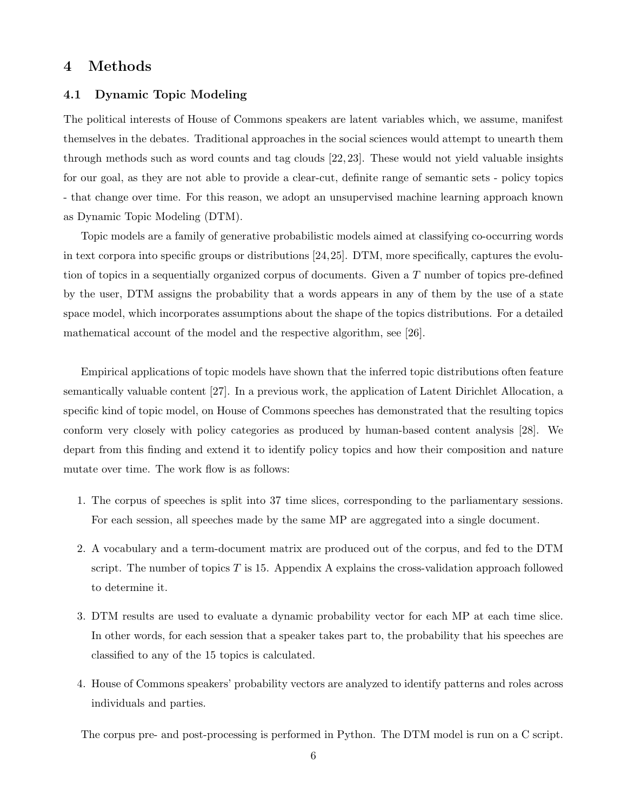## 4 Methods

#### 4.1 Dynamic Topic Modeling

The political interests of House of Commons speakers are latent variables which, we assume, manifest themselves in the debates. Traditional approaches in the social sciences would attempt to unearth them through methods such as word counts and tag clouds [22, 23]. These would not yield valuable insights for our goal, as they are not able to provide a clear-cut, definite range of semantic sets - policy topics - that change over time. For this reason, we adopt an unsupervised machine learning approach known as Dynamic Topic Modeling (DTM).

Topic models are a family of generative probabilistic models aimed at classifying co-occurring words in text corpora into specific groups or distributions [24,25]. DTM, more specifically, captures the evolution of topics in a sequentially organized corpus of documents. Given a T number of topics pre-defined by the user, DTM assigns the probability that a words appears in any of them by the use of a state space model, which incorporates assumptions about the shape of the topics distributions. For a detailed mathematical account of the model and the respective algorithm, see [26].

Empirical applications of topic models have shown that the inferred topic distributions often feature semantically valuable content [27]. In a previous work, the application of Latent Dirichlet Allocation, a specific kind of topic model, on House of Commons speeches has demonstrated that the resulting topics conform very closely with policy categories as produced by human-based content analysis [28]. We depart from this finding and extend it to identify policy topics and how their composition and nature mutate over time. The work flow is as follows:

- 1. The corpus of speeches is split into 37 time slices, corresponding to the parliamentary sessions. For each session, all speeches made by the same MP are aggregated into a single document.
- 2. A vocabulary and a term-document matrix are produced out of the corpus, and fed to the DTM script. The number of topics  $T$  is 15. Appendix A explains the cross-validation approach followed to determine it.
- 3. DTM results are used to evaluate a dynamic probability vector for each MP at each time slice. In other words, for each session that a speaker takes part to, the probability that his speeches are classified to any of the 15 topics is calculated.
- 4. House of Commons speakers' probability vectors are analyzed to identify patterns and roles across individuals and parties.

The corpus pre- and post-processing is performed in Python. The DTM model is run on a C script.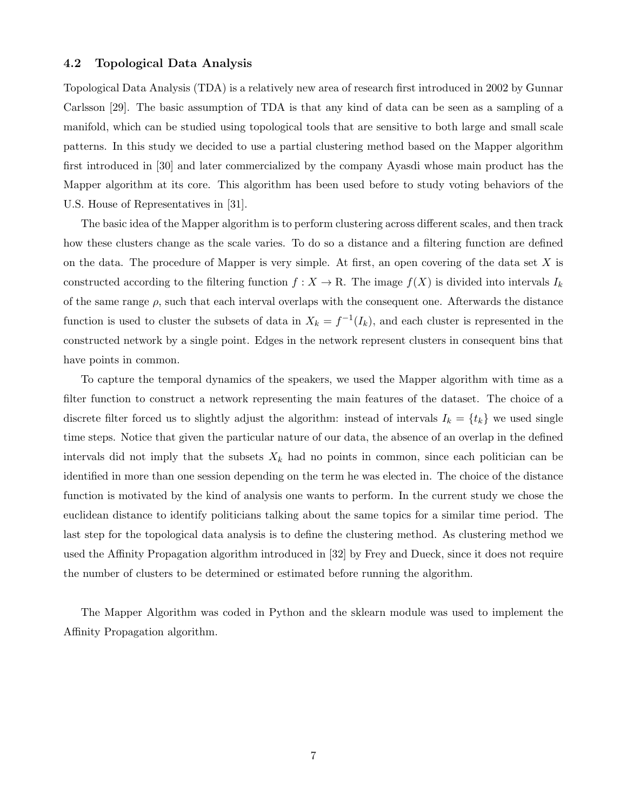#### 4.2 Topological Data Analysis

Topological Data Analysis (TDA) is a relatively new area of research first introduced in 2002 by Gunnar Carlsson [29]. The basic assumption of TDA is that any kind of data can be seen as a sampling of a manifold, which can be studied using topological tools that are sensitive to both large and small scale patterns. In this study we decided to use a partial clustering method based on the Mapper algorithm first introduced in [30] and later commercialized by the company Ayasdi whose main product has the Mapper algorithm at its core. This algorithm has been used before to study voting behaviors of the U.S. House of Representatives in [31].

The basic idea of the Mapper algorithm is to perform clustering across different scales, and then track how these clusters change as the scale varies. To do so a distance and a filtering function are defined on the data. The procedure of Mapper is very simple. At first, an open covering of the data set  $X$  is constructed according to the filtering function  $f : X \to \mathbb{R}$ . The image  $f(X)$  is divided into intervals  $I_k$ of the same range  $\rho$ , such that each interval overlaps with the consequent one. Afterwards the distance function is used to cluster the subsets of data in  $X_k = f^{-1}(I_k)$ , and each cluster is represented in the constructed network by a single point. Edges in the network represent clusters in consequent bins that have points in common.

To capture the temporal dynamics of the speakers, we used the Mapper algorithm with time as a filter function to construct a network representing the main features of the dataset. The choice of a discrete filter forced us to slightly adjust the algorithm: instead of intervals  $I_k = \{t_k\}$  we used single time steps. Notice that given the particular nature of our data, the absence of an overlap in the defined intervals did not imply that the subsets  $X_k$  had no points in common, since each politician can be identified in more than one session depending on the term he was elected in. The choice of the distance function is motivated by the kind of analysis one wants to perform. In the current study we chose the euclidean distance to identify politicians talking about the same topics for a similar time period. The last step for the topological data analysis is to define the clustering method. As clustering method we used the Affinity Propagation algorithm introduced in [32] by Frey and Dueck, since it does not require the number of clusters to be determined or estimated before running the algorithm.

The Mapper Algorithm was coded in Python and the sklearn module was used to implement the Affinity Propagation algorithm.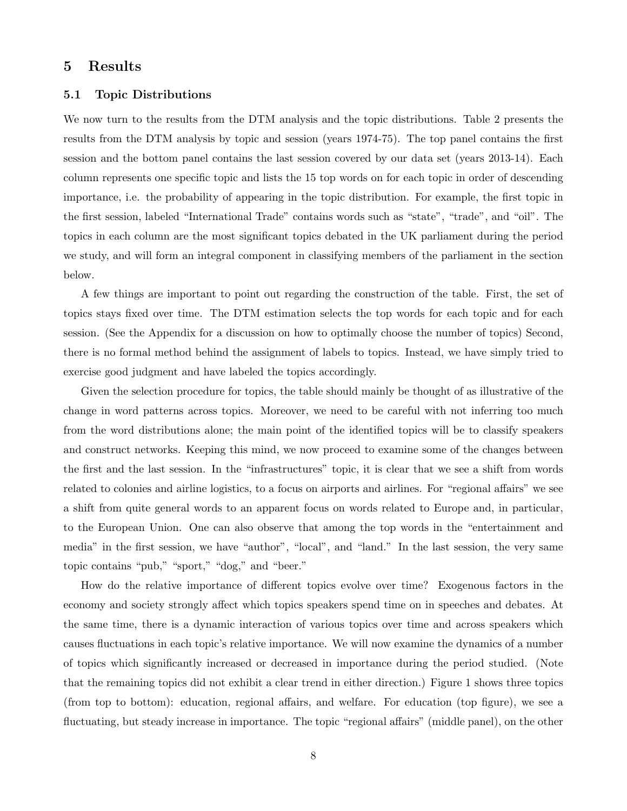## 5 Results

#### 5.1 Topic Distributions

We now turn to the results from the DTM analysis and the topic distributions. Table 2 presents the results from the DTM analysis by topic and session (years 1974-75). The top panel contains the first session and the bottom panel contains the last session covered by our data set (years 2013-14). Each column represents one specific topic and lists the 15 top words on for each topic in order of descending importance, i.e. the probability of appearing in the topic distribution. For example, the first topic in the first session, labeled "International Trade" contains words such as "state", "trade", and "oil". The topics in each column are the most significant topics debated in the UK parliament during the period we study, and will form an integral component in classifying members of the parliament in the section below.

A few things are important to point out regarding the construction of the table. First, the set of topics stays fixed over time. The DTM estimation selects the top words for each topic and for each session. (See the Appendix for a discussion on how to optimally choose the number of topics) Second, there is no formal method behind the assignment of labels to topics. Instead, we have simply tried to exercise good judgment and have labeled the topics accordingly.

Given the selection procedure for topics, the table should mainly be thought of as illustrative of the change in word patterns across topics. Moreover, we need to be careful with not inferring too much from the word distributions alone; the main point of the identified topics will be to classify speakers and construct networks. Keeping this mind, we now proceed to examine some of the changes between the first and the last session. In the "infrastructures" topic, it is clear that we see a shift from words related to colonies and airline logistics, to a focus on airports and airlines. For "regional affairs" we see a shift from quite general words to an apparent focus on words related to Europe and, in particular, to the European Union. One can also observe that among the top words in the "entertainment and media" in the first session, we have "author", "local", and "land." In the last session, the very same topic contains "pub," "sport," "dog," and "beer."

How do the relative importance of different topics evolve over time? Exogenous factors in the economy and society strongly affect which topics speakers spend time on in speeches and debates. At the same time, there is a dynamic interaction of various topics over time and across speakers which causes fluctuations in each topic's relative importance. We will now examine the dynamics of a number of topics which significantly increased or decreased in importance during the period studied. (Note that the remaining topics did not exhibit a clear trend in either direction.) Figure 1 shows three topics (from top to bottom): education, regional affairs, and welfare. For education (top figure), we see a fluctuating, but steady increase in importance. The topic "regional affairs" (middle panel), on the other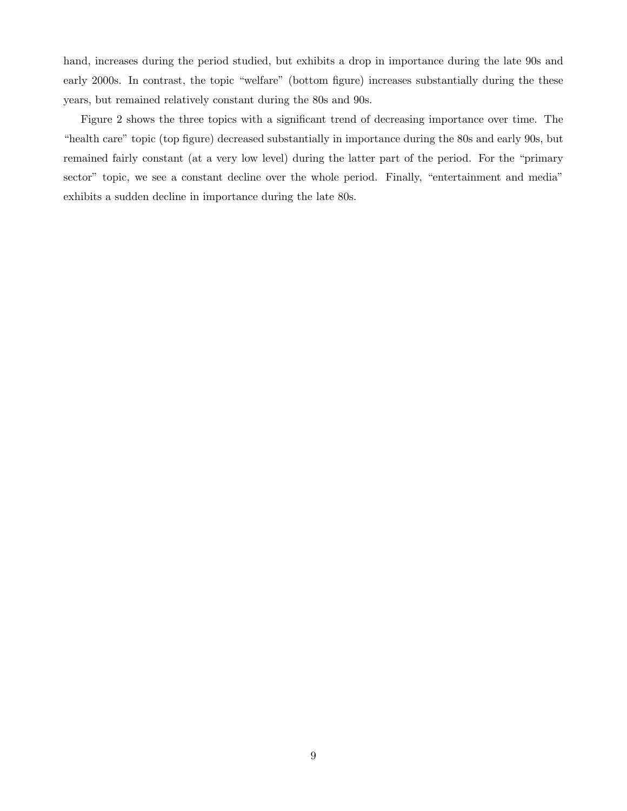hand, increases during the period studied, but exhibits a drop in importance during the late 90s and early 2000s. In contrast, the topic "welfare" (bottom figure) increases substantially during the these years, but remained relatively constant during the 80s and 90s.

Figure 2 shows the three topics with a significant trend of decreasing importance over time. The "health care" topic (top figure) decreased substantially in importance during the 80s and early 90s, but remained fairly constant (at a very low level) during the latter part of the period. For the "primary sector" topic, we see a constant decline over the whole period. Finally, "entertainment and media" exhibits a sudden decline in importance during the late 80s.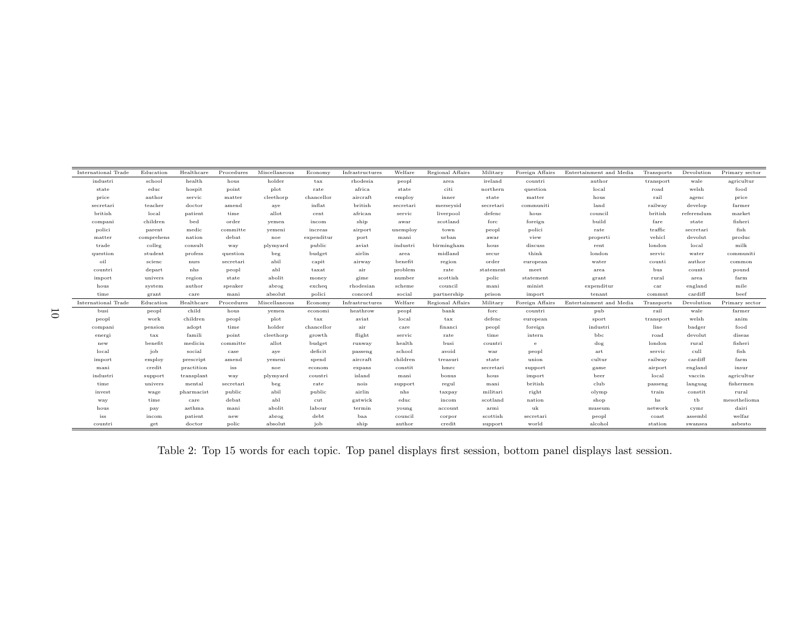| International Trade | Education     | Healthcare | Procedures | Miscellaneous | Economy       | Infrastructures | Welfare   | Regional Affairs | Military  | Foreign Affairs | Entertainment and Media | Transports   | Devolution | Primary sector |
|---------------------|---------------|------------|------------|---------------|---------------|-----------------|-----------|------------------|-----------|-----------------|-------------------------|--------------|------------|----------------|
| industri            | school        | health     | hous       | holder        | tax           | rhodesia        | peopl     | area             | ireland   | countri         | author                  | transport    | wale       | agricultur     |
| state               | $_{\rm educ}$ | hospit     | point      | plot          | rate          | africa          | state     | citi             | northern  | question        | local                   | road         | welsh      | food           |
| price               | author        | servic     | matter     | cleethorp     | chancellor    | aircraft        | employ    | inner            | state     | matter          | hous                    | rail         | agenc      | price          |
| secretari           | teacher       | doctor     | amend      | aye           | inflat        | british         | secretari | merseysid        | secretari | communiti       | land                    | railway      | develop    | farmer         |
| british             | local         | patient    | time       | allot         | cent          | african         | servic    | liverpool        | defenc    | hous            | council                 | british      | referendum | market         |
| compani             | children      | bed        | order      | yemen         | incom         | ship            | awar      | scotland         | forc      | foreign         | build                   | fare         | state      | fisheri        |
| polici              | parent        | medic      | committe   | yemeni        | increas       | airport         | unemploy  | town             | peopl     | polici          | rate                    | traffic      | secretari  | fish           |
| matter              | comprehens    | nation     | debat      | noe           | expenditur    | port            | mani      | urban            | awar      | view            | properti                | vehicl       | devolut    | produc         |
| trade               | colleg        | consult    | way        | plymyard      | public        | aviat           | industri  | birmingham       | hous      | discuss         | rent                    | london       | local      | milk           |
| question            | student       | profess    | question   | beg           | budget        | airlin          | area      | midland          | secur     | think           | london                  | servic       | water      | communiti      |
| oil                 | scienc        | nurs       | secretari  | abil          | capit         | airway          | benefit   | region           | order     | european        | water                   | counti       | author     | common         |
| countri             | depart        | nhs        | peopl      | abl           | taxat         | air             | problem   | rate             | statement | meet            | area                    | bus          | counti     | pound          |
| import              | univers       | region     | state      | abolit        | money         | gime            | number    | scottish         | polic     | statement       | grant                   | rural        | area       | farm           |
| hous                | system        | author     | speaker    | abrog         | excheq        | rhodesian       | scheme    | council          | mani      | minist          | expenditur              | $_{\rm car}$ | england    | mile           |
| time                | grant         | care       | mani       | absolut       | polici        | concord         | social    | partnership      | prison    | import          | tenant                  | commut       | cardiff    | beef           |
| International Trade | Education     | Healthcare | Procedures | Miscellaneous | Economy       | Infrastructures | Welfare   | Regional Affairs | Military  | Foreign Affairs | Entertainment and Media | Transports   | Devolution | Primary sector |
| busi                | peopl         | child      | hous       | yemen         | economi       | heathrow        | peopl     | bank             | forc      | countri         | pub                     | rail         | wale       | farmer         |
| peopl               | work          | children   | peopl      | plot          | $_{\rm tax}$  | aviat           | local     | $_{\rm tax}$     | defenc    | european        | sport                   | transport    | welsh      | anim           |
| compani             | pension       | adopt      | time       | holder        | chancellor    | air             | care      | financi          | peopl     | foreign         | industri                | line         | badger     | food           |
| energi              | $_{\rm tax}$  | famili     | point      | cleethorp     | growth        | flight          | servic    | rate             | time      | intern          | bbc                     | road         | devolut    | diseas         |
| new                 | benefit       | medicin    | committe   | allot         | budget        | runway          | health    | busi             | countri   | e               | dog                     | london       | rural      | fisheri        |
| local               | job           | social     | case       | aye           | deficit       | passeng         | school    | avoid            | war       | peopl           | art                     | servic       | cull       | fish           |
| import              | employ        | prescript  | amend      | yemeni        | spend         | aircraft        | children  | treasuri         | state     | union           | cultur                  | railway      | cardiff    | farm           |
| mani                | credit        | practition | iss        | noe           | econom        | expans          | constit   | hmrc             | secretari | support         | game                    | airport      | england    | insur          |
| industri            | support       | transplant | way        | plymyard      | countri       | island          | mani      | bonus            | hous      | import          | beer                    | local        | vaccin     | agricultur     |
| time                | univers       | mental     | secretari  | beg           | rate          | nois            | support   | regul            | mani      | british         | club                    | passeng      | languag    | fishermen      |
| invest              | wage          | pharmacist | public     | abil          | public        | airlin          | nhs       | taxpay           | militari  | right           | olymp                   | train        | constit    | rural          |
| way                 | time          | care       | debat      | abl           | cut           | gatwick         | educ      | incom            | scotland  | nation          | shop                    | hs           | tb         | mesothelioma   |
| hous                | pay           | asthma     | mani       | abolit        | labour        | termin          | young     | account          | armi      | uk              | museum                  | network      | cymr       | dairi          |
| iss                 | incom         | patient    | new        | abrog         | $_{\rm debt}$ | baa             | council   | corpor           | scottish  | secretari       | peopl                   | coast        | assembl    | welfar         |
| countri             | get           | doctor     | polic      | absolut       | job           | ship            | author    | credit           | support   | world           | alcohol                 | station      | swansea    | asbesto        |

Table 2: Top 15 words for each topic. Top panel displays first session, bottom panel displays last session.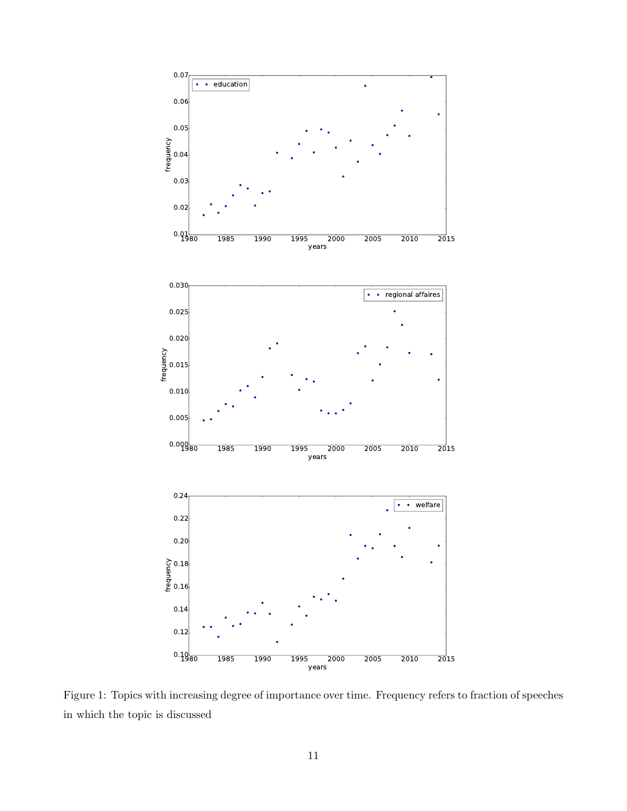

Figure 1: Topics with increasing degree of importance over time. Frequency refers to fraction of speeches in which the topic is discussed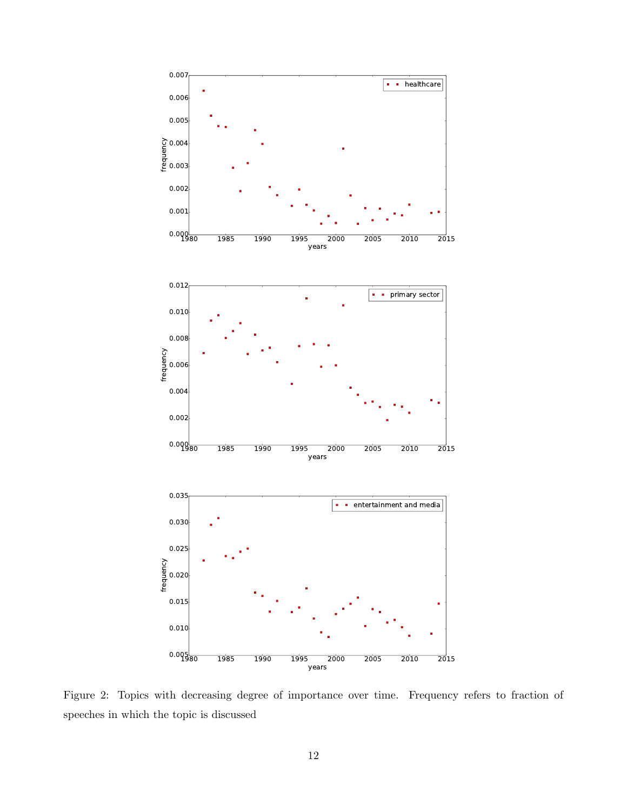

Figure 2: Topics with decreasing degree of importance over time. Frequency refers to fraction of speeches in which the topic is discussed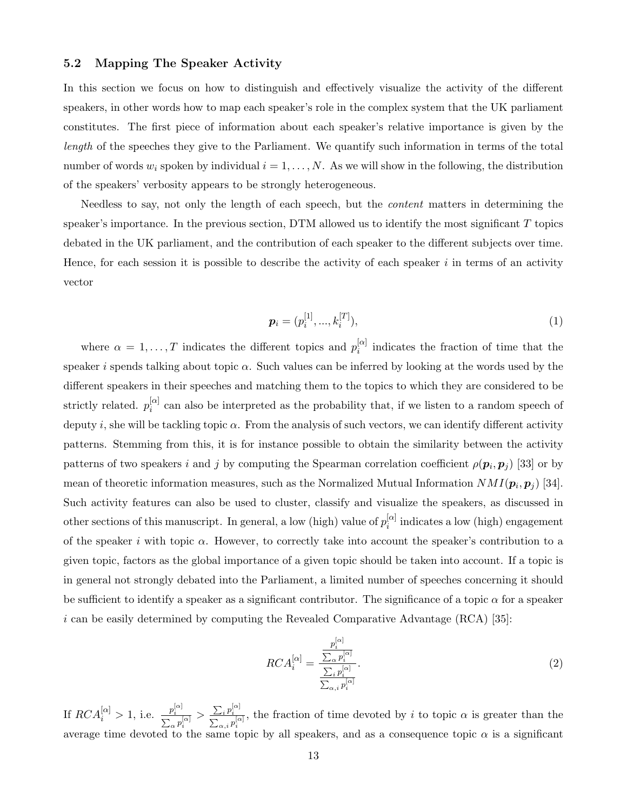#### 5.2 Mapping The Speaker Activity

In this section we focus on how to distinguish and effectively visualize the activity of the different speakers, in other words how to map each speaker's role in the complex system that the UK parliament constitutes. The first piece of information about each speaker's relative importance is given by the length of the speeches they give to the Parliament. We quantify such information in terms of the total number of words  $w_i$  spoken by individual  $i = 1, \ldots, N$ . As we will show in the following, the distribution of the speakers' verbosity appears to be strongly heterogeneous.

Needless to say, not only the length of each speech, but the content matters in determining the speaker's importance. In the previous section,  $DTM$  allowed us to identify the most significant  $T$  topics debated in the UK parliament, and the contribution of each speaker to the different subjects over time. Hence, for each session it is possible to describe the activity of each speaker  $i$  in terms of an activity vector

$$
\boldsymbol{p}_i = (p_i^{[1]}, \dots, k_i^{[T]}), \tag{1}
$$

where  $\alpha = 1, \ldots, T$  indicates the different topics and  $p_i^{[\alpha]}$  $\iota_i^{[\alpha]}$  indicates the fraction of time that the speaker i spends talking about topic  $\alpha$ . Such values can be inferred by looking at the words used by the different speakers in their speeches and matching them to the topics to which they are considered to be strictly related.  $p_i^{[\alpha]}$  $\frac{a}{i}$  can also be interpreted as the probability that, if we listen to a random speech of deputy i, she will be tackling topic  $\alpha$ . From the analysis of such vectors, we can identify different activity patterns. Stemming from this, it is for instance possible to obtain the similarity between the activity patterns of two speakers i and j by computing the Spearman correlation coefficient  $\rho(\mathbf{p}_i, \mathbf{p}_j)$  [33] or by mean of theoretic information measures, such as the Normalized Mutual Information  $NMI(\boldsymbol{p}_i, \boldsymbol{p}_j)$  [34]. Such activity features can also be used to cluster, classify and visualize the speakers, as discussed in other sections of this manuscript. In general, a low (high) value of  $p_i^{[\alpha]}$  $i^{[\alpha]}$  indicates a low (high) engagement of the speaker i with topic  $\alpha$ . However, to correctly take into account the speaker's contribution to a given topic, factors as the global importance of a given topic should be taken into account. If a topic is in general not strongly debated into the Parliament, a limited number of speeches concerning it should be sufficient to identify a speaker as a significant contributor. The significance of a topic  $\alpha$  for a speaker  $i$  can be easily determined by computing the Revealed Comparative Advantage (RCA) [35]:

$$
RCA_i^{[\alpha]} = \frac{\frac{p_i^{[\alpha]}}{\sum_{\alpha} p_i^{[\alpha]}}}{\frac{\sum_{i} p_i^{[\alpha]}}{\sum_{\alpha, i} p_i^{[\alpha]}}}.
$$
\n
$$
(2)
$$

If  $RCA_i^{[\alpha]} > 1$ , i.e.  $\frac{p_i^{[\alpha]}}{\sum_{\alpha} p_i^{[\alpha]}}$  $> \frac{\sum_i p_i^{[\alpha]}}{\sum_{\alpha,i} p_i^{[\alpha]}}$ , the fraction of time devoted by i to topic  $\alpha$  is greater than the average time devoted to the same topic by all speakers, and as a consequence topic  $\alpha$  is a significant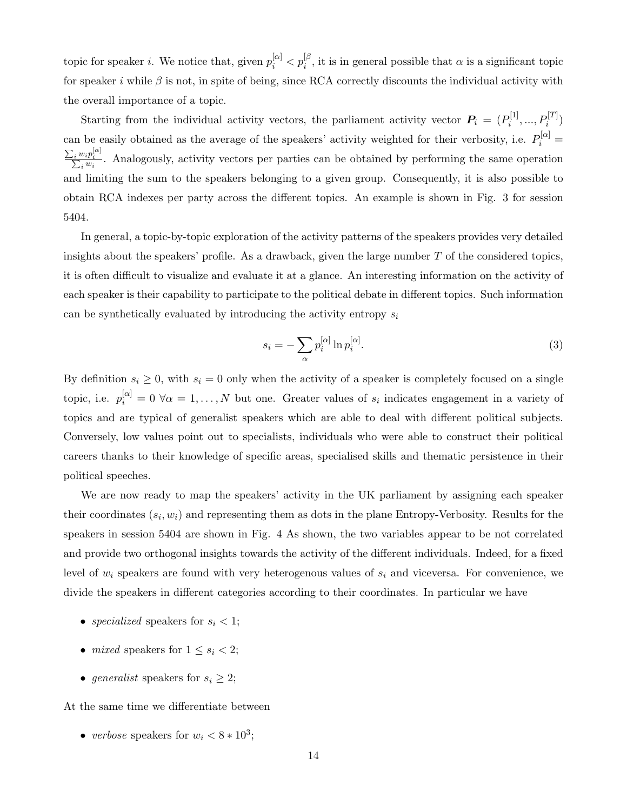topic for speaker *i*. We notice that, given  $p_i^{[\alpha]} < p_i^{[\beta]}$ , it is in general possible that  $\alpha$  is a significant topic for speaker i while  $\beta$  is not, in spite of being, since RCA correctly discounts the individual activity with the overall importance of a topic.

Starting from the individual activity vectors, the parliament activity vector  $P_i = (P_i^{[1]}$  $P_i^{[1]},...,P_i^{[T]})$ can be easily obtained as the average of the speakers' activity weighted for their verbosity, i.e.  $P_i^{[\alpha]} =$  $\frac{\sum_i w_i p_i^{[\alpha]}}{\sum_i w_i}$ . Analogously, activity vectors per parties can be obtained by performing the same operation and limiting the sum to the speakers belonging to a given group. Consequently, it is also possible to obtain RCA indexes per party across the different topics. An example is shown in Fig. 3 for session 5404.

In general, a topic-by-topic exploration of the activity patterns of the speakers provides very detailed insights about the speakers' profile. As a drawback, given the large number  $T$  of the considered topics, it is often difficult to visualize and evaluate it at a glance. An interesting information on the activity of each speaker is their capability to participate to the political debate in different topics. Such information can be synthetically evaluated by introducing the activity entropy  $s_i$ 

$$
s_i = -\sum_{\alpha} p_i^{[\alpha]} \ln p_i^{[\alpha]}.
$$
 (3)

By definition  $s_i \geq 0$ , with  $s_i = 0$  only when the activity of a speaker is completely focused on a single topic, i.e.  $p_i^{[\alpha]} = 0 \,\forall \alpha = 1, \ldots, N$  but one. Greater values of  $s_i$  indicates engagement in a variety of topics and are typical of generalist speakers which are able to deal with different political subjects. Conversely, low values point out to specialists, individuals who were able to construct their political careers thanks to their knowledge of specific areas, specialised skills and thematic persistence in their political speeches.

We are now ready to map the speakers' activity in the UK parliament by assigning each speaker their coordinates  $(s_i, w_i)$  and representing them as dots in the plane Entropy-Verbosity. Results for the speakers in session 5404 are shown in Fig. 4 As shown, the two variables appear to be not correlated and provide two orthogonal insights towards the activity of the different individuals. Indeed, for a fixed level of  $w_i$  speakers are found with very heterogenous values of  $s_i$  and viceversa. For convenience, we divide the speakers in different categories according to their coordinates. In particular we have

- specialized speakers for  $s_i < 1$ ;
- *mixed* speakers for  $1 \leq s_i < 2$ ;
- generalist speakers for  $s_i \geq 2$ ;

At the same time we differentiate between

• verbose speakers for  $w_i < 8 * 10^3$ ;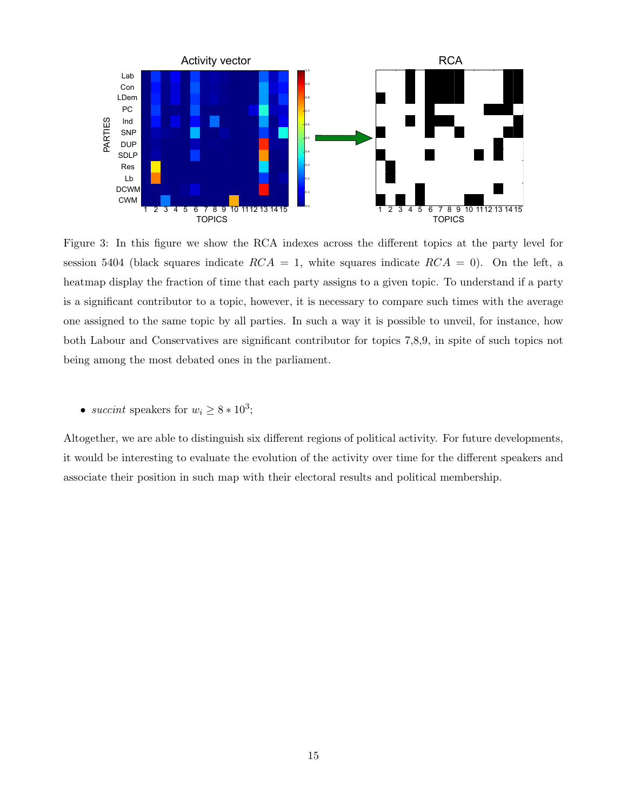

Figure 3: In this figure we show the RCA indexes across the different topics at the party level for session 5404 (black squares indicate  $RCA = 1$ , white squares indicate  $RCA = 0$ ). On the left, a heatmap display the fraction of time that each party assigns to a given topic. To understand if a party is a significant contributor to a topic, however, it is necessary to compare such times with the average one assigned to the same topic by all parties. In such a way it is possible to unveil, for instance, how both Labour and Conservatives are significant contributor for topics 7,8,9, in spite of such topics not being among the most debated ones in the parliament.

• succint speakers for  $w_i \geq 8 * 10^3$ ;

Altogether, we are able to distinguish six different regions of political activity. For future developments, it would be interesting to evaluate the evolution of the activity over time for the different speakers and associate their position in such map with their electoral results and political membership.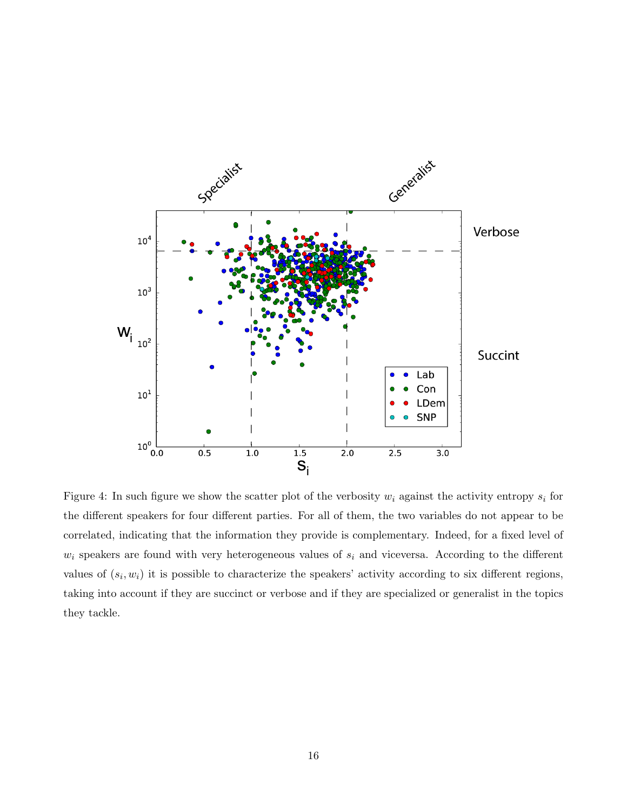

Figure 4: In such figure we show the scatter plot of the verbosity  $w_i$  against the activity entropy  $s_i$  for the different speakers for four different parties. For all of them, the two variables do not appear to be correlated, indicating that the information they provide is complementary. Indeed, for a fixed level of  $w_i$  speakers are found with very heterogeneous values of  $s_i$  and viceversa. According to the different values of  $(s_i, w_i)$  it is possible to characterize the speakers' activity according to six different regions, taking into account if they are succinct or verbose and if they are specialized or generalist in the topics they tackle.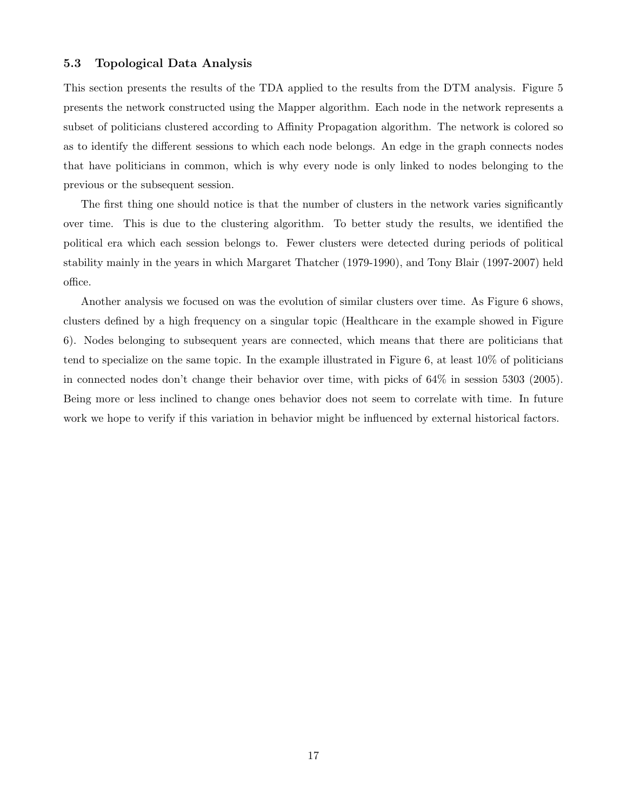#### 5.3 Topological Data Analysis

This section presents the results of the TDA applied to the results from the DTM analysis. Figure 5 presents the network constructed using the Mapper algorithm. Each node in the network represents a subset of politicians clustered according to Affinity Propagation algorithm. The network is colored so as to identify the different sessions to which each node belongs. An edge in the graph connects nodes that have politicians in common, which is why every node is only linked to nodes belonging to the previous or the subsequent session.

The first thing one should notice is that the number of clusters in the network varies significantly over time. This is due to the clustering algorithm. To better study the results, we identified the political era which each session belongs to. Fewer clusters were detected during periods of political stability mainly in the years in which Margaret Thatcher (1979-1990), and Tony Blair (1997-2007) held office.

Another analysis we focused on was the evolution of similar clusters over time. As Figure 6 shows, clusters defined by a high frequency on a singular topic (Healthcare in the example showed in Figure 6). Nodes belonging to subsequent years are connected, which means that there are politicians that tend to specialize on the same topic. In the example illustrated in Figure 6, at least 10% of politicians in connected nodes don't change their behavior over time, with picks of 64% in session 5303 (2005). Being more or less inclined to change ones behavior does not seem to correlate with time. In future work we hope to verify if this variation in behavior might be influenced by external historical factors.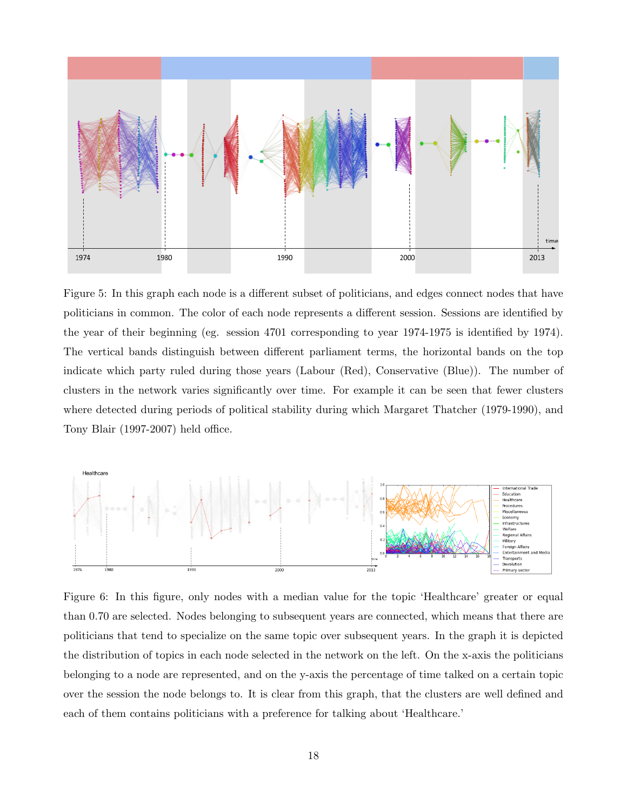

Figure 5: In this graph each node is a different subset of politicians, and edges connect nodes that have politicians in common. The color of each node represents a different session. Sessions are identified by the year of their beginning (eg. session 4701 corresponding to year 1974-1975 is identified by 1974). The vertical bands distinguish between different parliament terms, the horizontal bands on the top indicate which party ruled during those years (Labour (Red), Conservative (Blue)). The number of clusters in the network varies significantly over time. For example it can be seen that fewer clusters where detected during periods of political stability during which Margaret Thatcher (1979-1990), and Tony Blair (1997-2007) held office.



Figure 6: In this figure, only nodes with a median value for the topic 'Healthcare' greater or equal than 0.70 are selected. Nodes belonging to subsequent years are connected, which means that there are politicians that tend to specialize on the same topic over subsequent years. In the graph it is depicted the distribution of topics in each node selected in the network on the left. On the x-axis the politicians belonging to a node are represented, and on the y-axis the percentage of time talked on a certain topic over the session the node belongs to. It is clear from this graph, that the clusters are well defined and each of them contains politicians with a preference for talking about 'Healthcare.'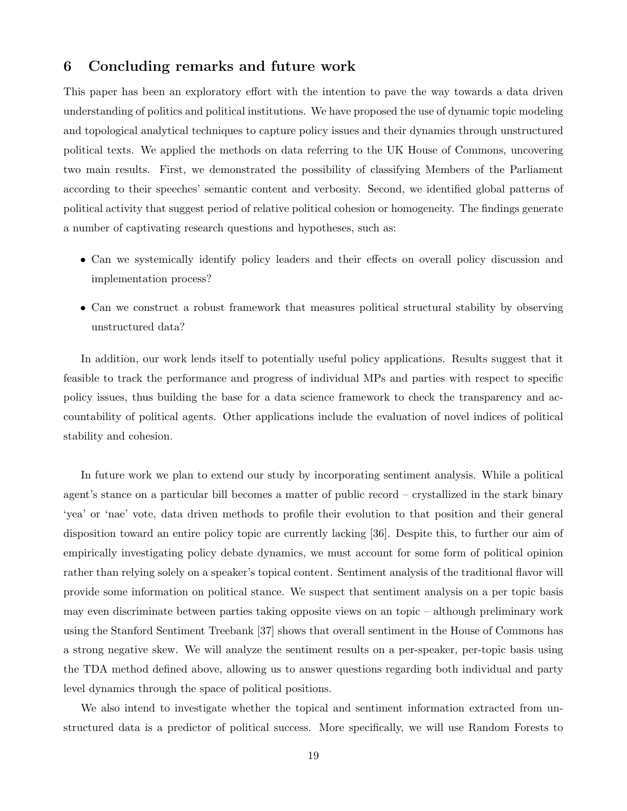# 6 Concluding remarks and future work

This paper has been an exploratory effort with the intention to pave the way towards a data driven understanding of politics and political institutions. We have proposed the use of dynamic topic modeling and topological analytical techniques to capture policy issues and their dynamics through unstructured political texts. We applied the methods on data referring to the UK House of Commons, uncovering two main results. First, we demonstrated the possibility of classifying Members of the Parliament according to their speeches' semantic content and verbosity. Second, we identified global patterns of political activity that suggest period of relative political cohesion or homogeneity. The findings generate a number of captivating research questions and hypotheses, such as:

- Can we systemically identify policy leaders and their effects on overall policy discussion and implementation process?
- Can we construct a robust framework that measures political structural stability by observing unstructured data?

In addition, our work lends itself to potentially useful policy applications. Results suggest that it feasible to track the performance and progress of individual MPs and parties with respect to specific policy issues, thus building the base for a data science framework to check the transparency and accountability of political agents. Other applications include the evaluation of novel indices of political stability and cohesion.

In future work we plan to extend our study by incorporating sentiment analysis. While a political agent's stance on a particular bill becomes a matter of public record – crystallized in the stark binary 'yea' or 'nae' vote, data driven methods to profile their evolution to that position and their general disposition toward an entire policy topic are currently lacking [36]. Despite this, to further our aim of empirically investigating policy debate dynamics, we must account for some form of political opinion rather than relying solely on a speaker's topical content. Sentiment analysis of the traditional flavor will provide some information on political stance. We suspect that sentiment analysis on a per topic basis may even discriminate between parties taking opposite views on an topic – although preliminary work using the Stanford Sentiment Treebank [37] shows that overall sentiment in the House of Commons has a strong negative skew. We will analyze the sentiment results on a per-speaker, per-topic basis using the TDA method defined above, allowing us to answer questions regarding both individual and party level dynamics through the space of political positions.

We also intend to investigate whether the topical and sentiment information extracted from unstructured data is a predictor of political success. More specifically, we will use Random Forests to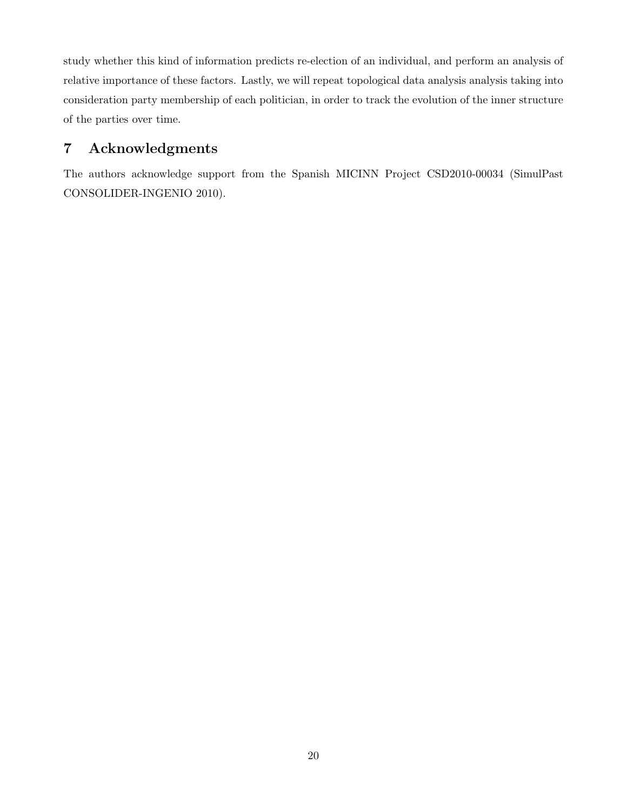study whether this kind of information predicts re-election of an individual, and perform an analysis of relative importance of these factors. Lastly, we will repeat topological data analysis analysis taking into consideration party membership of each politician, in order to track the evolution of the inner structure of the parties over time.

# 7 Acknowledgments

The authors acknowledge support from the Spanish MICINN Project CSD2010-00034 (SimulPast CONSOLIDER-INGENIO 2010).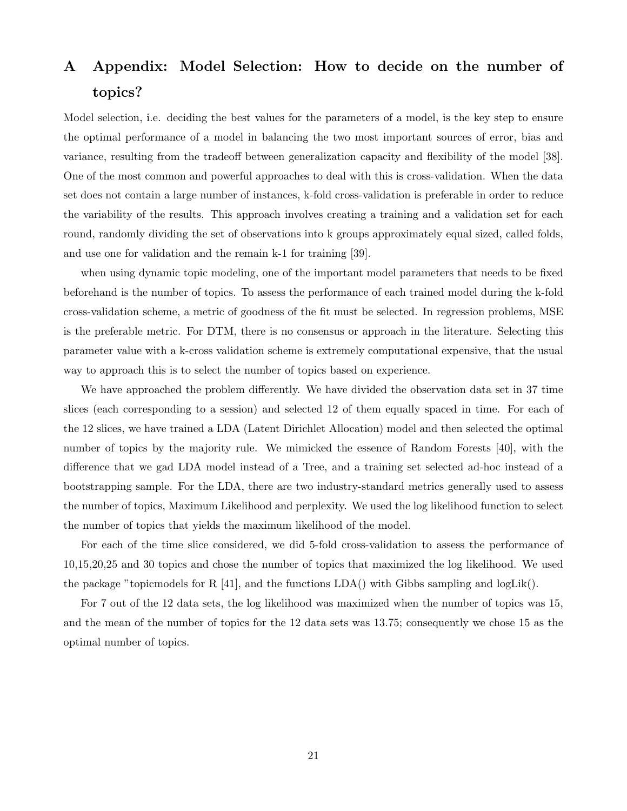# A Appendix: Model Selection: How to decide on the number of topics?

Model selection, i.e. deciding the best values for the parameters of a model, is the key step to ensure the optimal performance of a model in balancing the two most important sources of error, bias and variance, resulting from the tradeoff between generalization capacity and flexibility of the model [38]. One of the most common and powerful approaches to deal with this is cross-validation. When the data set does not contain a large number of instances, k-fold cross-validation is preferable in order to reduce the variability of the results. This approach involves creating a training and a validation set for each round, randomly dividing the set of observations into k groups approximately equal sized, called folds, and use one for validation and the remain k-1 for training [39].

when using dynamic topic modeling, one of the important model parameters that needs to be fixed beforehand is the number of topics. To assess the performance of each trained model during the k-fold cross-validation scheme, a metric of goodness of the fit must be selected. In regression problems, MSE is the preferable metric. For DTM, there is no consensus or approach in the literature. Selecting this parameter value with a k-cross validation scheme is extremely computational expensive, that the usual way to approach this is to select the number of topics based on experience.

We have approached the problem differently. We have divided the observation data set in 37 time slices (each corresponding to a session) and selected 12 of them equally spaced in time. For each of the 12 slices, we have trained a LDA (Latent Dirichlet Allocation) model and then selected the optimal number of topics by the majority rule. We mimicked the essence of Random Forests [40], with the difference that we gad LDA model instead of a Tree, and a training set selected ad-hoc instead of a bootstrapping sample. For the LDA, there are two industry-standard metrics generally used to assess the number of topics, Maximum Likelihood and perplexity. We used the log likelihood function to select the number of topics that yields the maximum likelihood of the model.

For each of the time slice considered, we did 5-fold cross-validation to assess the performance of 10,15,20,25 and 30 topics and chose the number of topics that maximized the log likelihood. We used the package "topicmodels for R [41], and the functions  $LDA()$  with Gibbs sampling and logLik().

For 7 out of the 12 data sets, the log likelihood was maximized when the number of topics was 15, and the mean of the number of topics for the 12 data sets was 13.75; consequently we chose 15 as the optimal number of topics.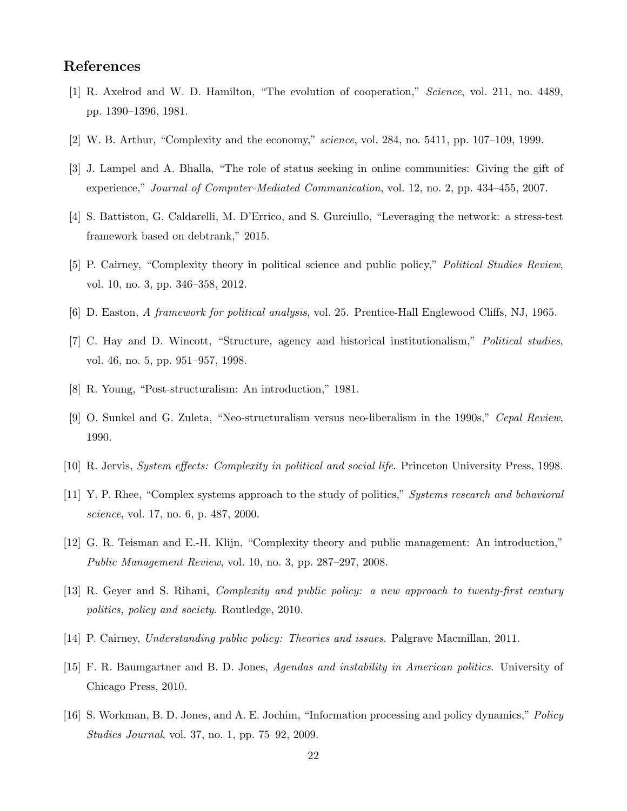# References

- [1] R. Axelrod and W. D. Hamilton, "The evolution of cooperation," Science, vol. 211, no. 4489, pp. 1390–1396, 1981.
- [2] W. B. Arthur, "Complexity and the economy," science, vol. 284, no. 5411, pp. 107-109, 1999.
- [3] J. Lampel and A. Bhalla, "The role of status seeking in online communities: Giving the gift of experience," Journal of Computer-Mediated Communication, vol. 12, no. 2, pp. 434–455, 2007.
- [4] S. Battiston, G. Caldarelli, M. D'Errico, and S. Gurciullo, "Leveraging the network: a stress-test framework based on debtrank," 2015.
- [5] P. Cairney, "Complexity theory in political science and public policy," Political Studies Review, vol. 10, no. 3, pp. 346–358, 2012.
- [6] D. Easton, A framework for political analysis, vol. 25. Prentice-Hall Englewood Cliffs, NJ, 1965.
- [7] C. Hay and D. Wincott, "Structure, agency and historical institutionalism," Political studies, vol. 46, no. 5, pp. 951–957, 1998.
- [8] R. Young, "Post-structuralism: An introduction," 1981.
- [9] O. Sunkel and G. Zuleta, "Neo-structuralism versus neo-liberalism in the 1990s," Cepal Review, 1990.
- [10] R. Jervis, System effects: Complexity in political and social life. Princeton University Press, 1998.
- [11] Y. P. Rhee, "Complex systems approach to the study of politics," Systems research and behavioral science, vol. 17, no. 6, p. 487, 2000.
- [12] G. R. Teisman and E.-H. Klijn, "Complexity theory and public management: An introduction," Public Management Review, vol. 10, no. 3, pp. 287–297, 2008.
- [13] R. Geyer and S. Rihani, Complexity and public policy: a new approach to twenty-first century politics, policy and society. Routledge, 2010.
- [14] P. Cairney, Understanding public policy: Theories and issues. Palgrave Macmillan, 2011.
- [15] F. R. Baumgartner and B. D. Jones, Agendas and instability in American politics. University of Chicago Press, 2010.
- [16] S. Workman, B. D. Jones, and A. E. Jochim, "Information processing and policy dynamics," Policy Studies Journal, vol. 37, no. 1, pp. 75–92, 2009.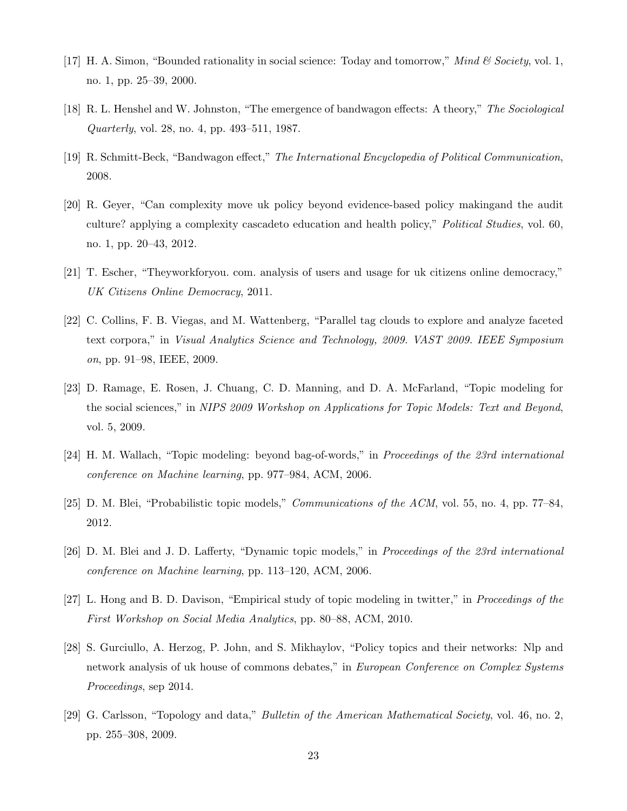- [17] H. A. Simon, "Bounded rationality in social science: Today and tomorrow," Mind & Society, vol. 1, no. 1, pp. 25–39, 2000.
- [18] R. L. Henshel and W. Johnston, "The emergence of bandwagon effects: A theory," The Sociological Quarterly, vol. 28, no. 4, pp. 493–511, 1987.
- [19] R. Schmitt-Beck, "Bandwagon effect," The International Encyclopedia of Political Communication, 2008.
- [20] R. Geyer, "Can complexity move uk policy beyond evidence-based policy makingand the audit culture? applying a complexity cascadeto education and health policy," Political Studies, vol. 60, no. 1, pp. 20–43, 2012.
- [21] T. Escher, "Theyworkforyou. com. analysis of users and usage for uk citizens online democracy," UK Citizens Online Democracy, 2011.
- [22] C. Collins, F. B. Viegas, and M. Wattenberg, "Parallel tag clouds to explore and analyze faceted text corpora," in Visual Analytics Science and Technology, 2009. VAST 2009. IEEE Symposium on, pp. 91–98, IEEE, 2009.
- [23] D. Ramage, E. Rosen, J. Chuang, C. D. Manning, and D. A. McFarland, "Topic modeling for the social sciences," in NIPS 2009 Workshop on Applications for Topic Models: Text and Beyond, vol. 5, 2009.
- [24] H. M. Wallach, "Topic modeling: beyond bag-of-words," in Proceedings of the 23rd international conference on Machine learning, pp. 977–984, ACM, 2006.
- [25] D. M. Blei, "Probabilistic topic models," Communications of the ACM, vol. 55, no. 4, pp. 77–84, 2012.
- [26] D. M. Blei and J. D. Lafferty, "Dynamic topic models," in Proceedings of the 23rd international conference on Machine learning, pp. 113–120, ACM, 2006.
- [27] L. Hong and B. D. Davison, "Empirical study of topic modeling in twitter," in Proceedings of the First Workshop on Social Media Analytics, pp. 80–88, ACM, 2010.
- [28] S. Gurciullo, A. Herzog, P. John, and S. Mikhaylov, "Policy topics and their networks: Nlp and network analysis of uk house of commons debates," in European Conference on Complex Systems Proceedings, sep 2014.
- [29] G. Carlsson, "Topology and data," Bulletin of the American Mathematical Society, vol. 46, no. 2, pp. 255–308, 2009.